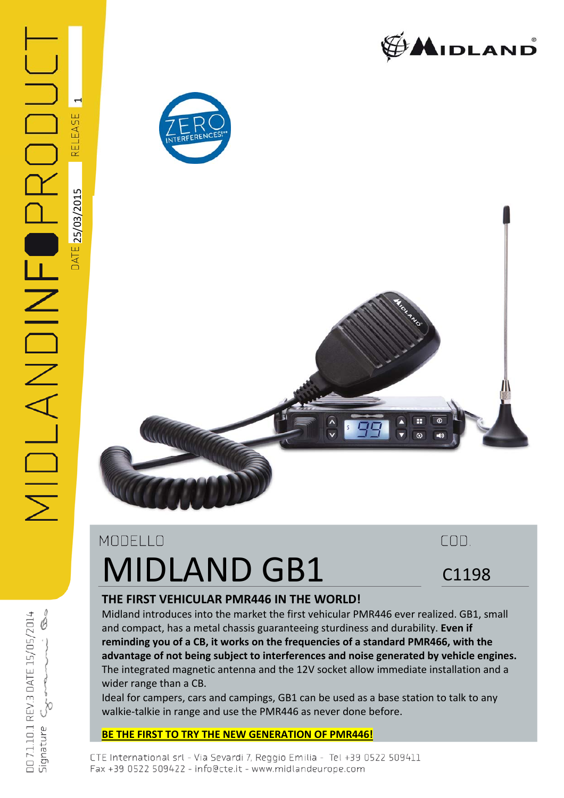



a sa na

 $\mathrel{\blacksquare}$ 

REL



# MODELLO MIDLAND GB1

C1198

COD.

## **THE FIRST VEHICULAR PMR446 IN THE WORLD!**

Midland introduces into the market the first vehicular PMR446 ever realized. GB1, small and compact, has a metal chassis guaranteeing sturdiness and durability. **Even if reminding you of a CB, it works on the frequencies of a standard PMR466, with the advantage of not being subject to interferences and noise generated by vehicle engines.** The integrated magnetic antenna and the 12V socket allow immediate installation and a wider range than a CB.

Ideal for campers, cars and campings, GB1 can be used as a base station to talk to any walkie‐talkie in range and use the PMR446 as never done before.

### **BE THE FIRST TO TRY THE NEW GENERATION OF PMR446!**

AIDLANDINF